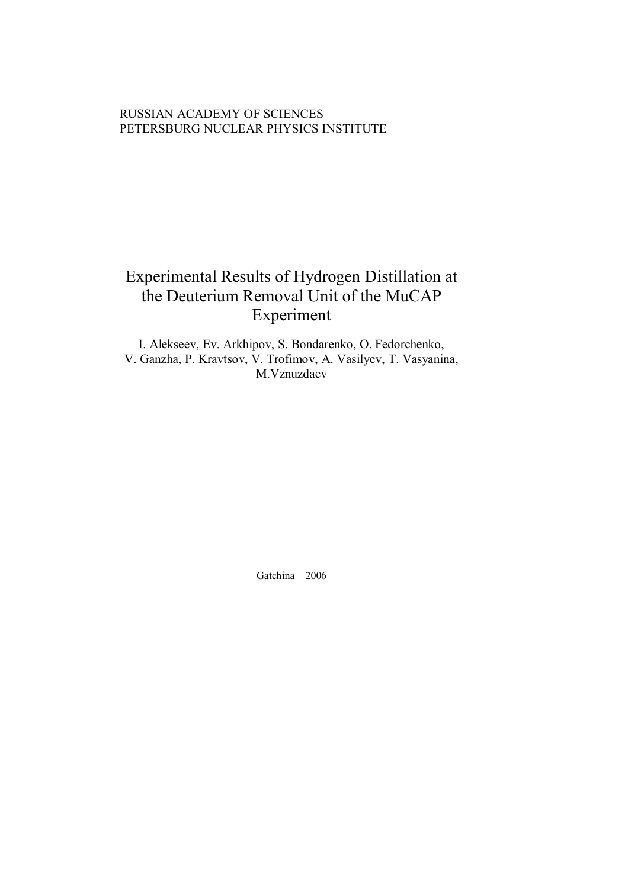# RUSSIAN ACADEMY OF SCIENCES PETERSBURG NUCLEAR PHYSICS INSTITUTE

# Experimental Results of Hydrogen Distillation at the Deuterium Removal Unit of the MuCAP Experiment

I. Alekseev, Ev. Arkhipov, S. Bondarenko, O. Fedorchenko, V. Ganzha, P. Kravtsov, V. Trofimov, A. Vasilyev, T. Vasyanina, M.Vznuzdaev

Gatchina 2006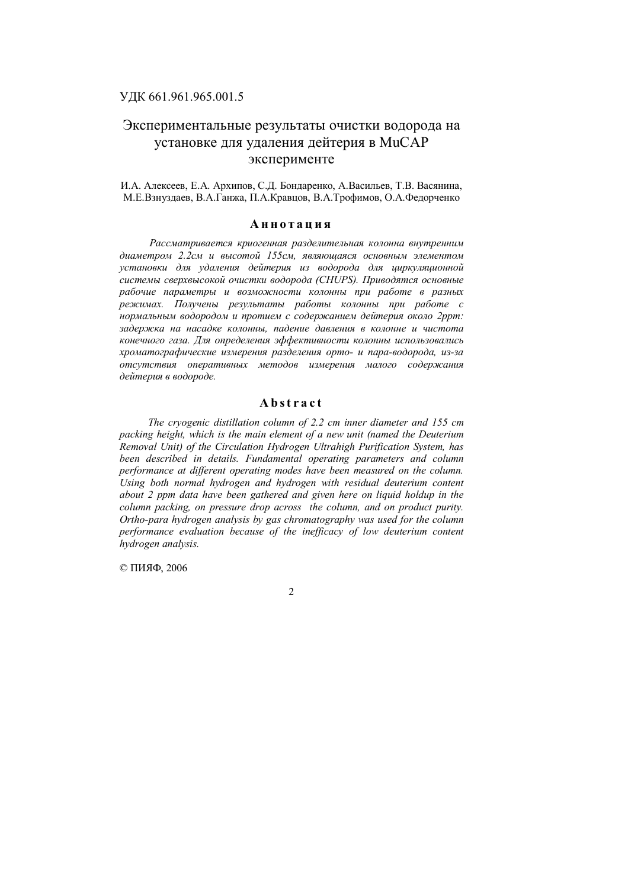# Экспериментальные результаты очистки водорода на установке для удаления дейтерия в MuCAP эксперименте

И.А. Алексеев, Е.А. Архипов, С.Д. Бондаренко, А.Васильев, Т.В. Васянина, М.Е.Взнуздаев, В.А.Ганжа, П.А.Кравцов, В.А.Трофимов, О.А.Федорченко

# **А н н о т а ц и я**

*Рассматривается криогенная разделительная колонна внутренним диаметром 2.2см и высотой 155см, являющаяся основным элементом установки для удаления дейтерия из водорода для циркуляционной системы сверхвысокой очистки водорода (CHUPS). Приводятся основные рабочие параметры и возможности колонны при работе в разных режимах. Получены результаты работы колонны при работе с нормальным водородом и протием с содержанием дейтерия около 2ppm: задержка на насадке колонны, падение давления в колонне и чистота конечного газа. Для определения эффективности колонны использовались хроматографические измерения разделения орто- и пара-водорода, из-за отсутствия оперативных методов измерения малого содержания дейтерия в водороде.* 

# **A b st r a c t**

*The cryogenic distillation column of 2.2 cm inner diameter and 155 cm packing height, which is the main element of a new unit (named the Deuterium Removal Unit) of the Circulation Hydrogen Ultrahigh Purification System, has been described in details. Fundamental operating parameters and column performance at different operating modes have been measured on the column. Using both normal hydrogen and hydrogen with residual deuterium content about 2 ppm data have been gathered and given here on liquid holdup in the column packing, on pressure drop across the column, and on product purity. Ortho-para hydrogen analysis by gas chromatography was used for the column performance evaluation because of the inefficacy of low deuterium content hydrogen analysis.* 

© ПИЯФ, 2006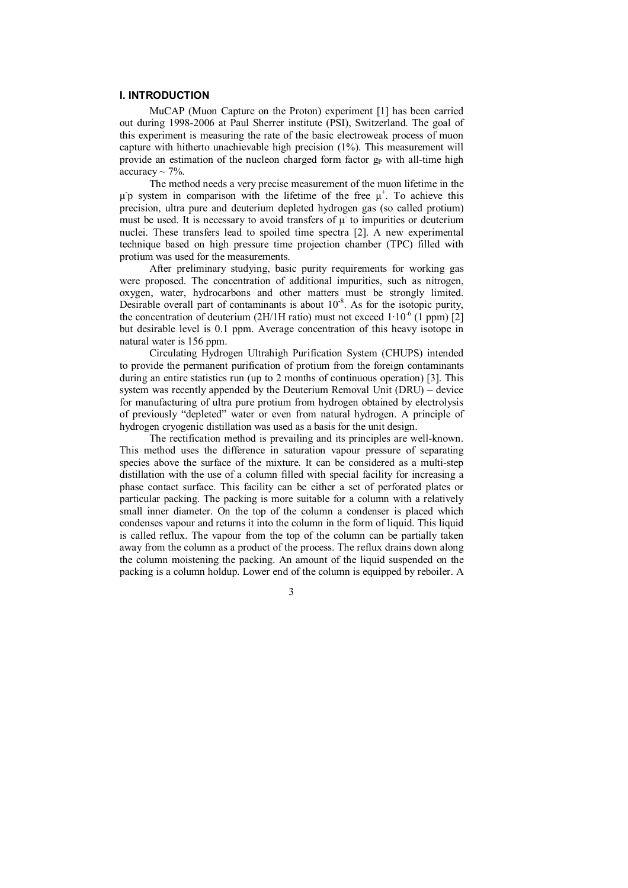### **I. INTRODUCTION**

MuCAP (Muon Capture on the Proton) experiment [1] has been carried out during 1998-2006 at Paul Sherrer institute (PSI), Switzerland. The goal of this experiment is measuring the rate of the basic electroweak process of muon capture with hitherto unachievable high precision (1%). This measurement will provide an estimation of the nucleon charged form factor  $g<sub>P</sub>$  with all-time high accuracy  $\sim$  7%.

The method needs a very precise measurement of the muon lifetime in the μ p system in comparison with the lifetime of the free  $μ<sup>+</sup>$ . To achieve this precision, ultra pure and deuterium depleted hydrogen gas (so called protium) must be used. It is necessary to avoid transfers of  $\mu$  to impurities or deuterium nuclei. These transfers lead to spoiled time spectra [2]. A new experimental technique based on high pressure time projection chamber (TPC) filled with protium was used for the measurements.

After preliminary studying, basic purity requirements for working gas were proposed. The concentration of additional impurities, such as nitrogen, oxygen, water, hydrocarbons and other matters must be strongly limited. Desirable overall part of contaminants is about  $10^{-8}$ . As for the isotopic purity, the concentration of deuterium (2H/1H ratio) must not exceed  $1 \cdot 10^{-6}$  (1 ppm) [2] but desirable level is 0.1 ppm. Average concentration of this heavy isotope in natural water is 156 ppm.

Circulating Hydrogen Ultrahigh Purification System (CHUPS) intended to provide the permanent purification of protium from the foreign contaminants during an entire statistics run (up to 2 months of continuous operation) [3]. This system was recently appended by the Deuterium Removal Unit (DRU) – device for manufacturing of ultra pure protium from hydrogen obtained by electrolysis of previously "depleted" water or even from natural hydrogen. A principle of hydrogen cryogenic distillation was used as a basis for the unit design.

The rectification method is prevailing and its principles are well-known. This method uses the difference in saturation vapour pressure of separating species above the surface of the mixture. It can be considered as a multi-step distillation with the use of a column filled with special facility for increasing a phase contact surface. This facility can be either a set of perforated plates or particular packing. The packing is more suitable for a column with a relatively small inner diameter. On the top of the column a condenser is placed which condenses vapour and returns it into the column in the form of liquid. This liquid is called reflux. The vapour from the top of the column can be partially taken away from the column as a product of the process. The reflux drains down along the column moistening the packing. An amount of the liquid suspended on the packing is a column holdup. Lower end of the column is equipped by reboiler. A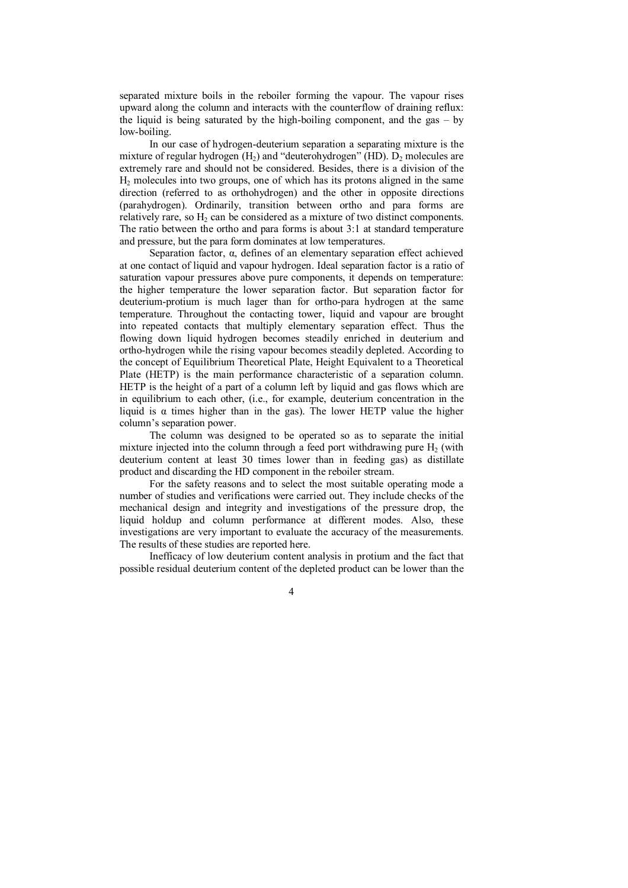separated mixture boils in the reboiler forming the vapour. The vapour rises upward along the column and interacts with the counterflow of draining reflux: the liquid is being saturated by the high-boiling component, and the gas – by low-boiling.

In our case of hydrogen-deuterium separation a separating mixture is the mixture of regular hydrogen  $(H_2)$  and "deuterohydrogen" (HD).  $D_2$  molecules are extremely rare and should not be considered. Besides, there is a division of the  $H_2$  molecules into two groups, one of which has its protons aligned in the same direction (referred to as orthohydrogen) and the other in opposite directions (parahydrogen). Ordinarily, transition between ortho and para forms are relatively rare, so H<sub>2</sub> can be considered as a mixture of two distinct components. The ratio between the ortho and para forms is about 3:1 at standard temperature and pressure, but the para form dominates at low temperatures.

Separation factor, α, defines of an elementary separation effect achieved at one contact of liquid and vapour hydrogen. Ideal separation factor is a ratio of saturation vapour pressures above pure components, it depends on temperature: the higher temperature the lower separation factor. But separation factor for deuterium-protium is much lager than for ortho-para hydrogen at the same temperature. Throughout the contacting tower, liquid and vapour are brought into repeated contacts that multiply elementary separation effect. Thus the flowing down liquid hydrogen becomes steadily enriched in deuterium and ortho-hydrogen while the rising vapour becomes steadily depleted. According to the concept of Equilibrium Theoretical Plate, Height Equivalent to a Theoretical Plate (HETP) is the main performance characteristic of a separation column. HETP is the height of a part of a column left by liquid and gas flows which are in equilibrium to each other, (i.e., for example, deuterium concentration in the liquid is  $\alpha$  times higher than in the gas). The lower HETP value the higher column's separation power.

The column was designed to be operated so as to separate the initial mixture injected into the column through a feed port withdrawing pure  $H_2$  (with deuterium content at least 30 times lower than in feeding gas) as distillate product and discarding the HD component in the reboiler stream.

For the safety reasons and to select the most suitable operating mode a number of studies and verifications were carried out. They include checks of the mechanical design and integrity and investigations of the pressure drop, the liquid holdup and column performance at different modes. Also, these investigations are very important to evaluate the accuracy of the measurements. The results of these studies are reported here.

Inefficacy of low deuterium content analysis in protium and the fact that possible residual deuterium content of the depleted product can be lower than the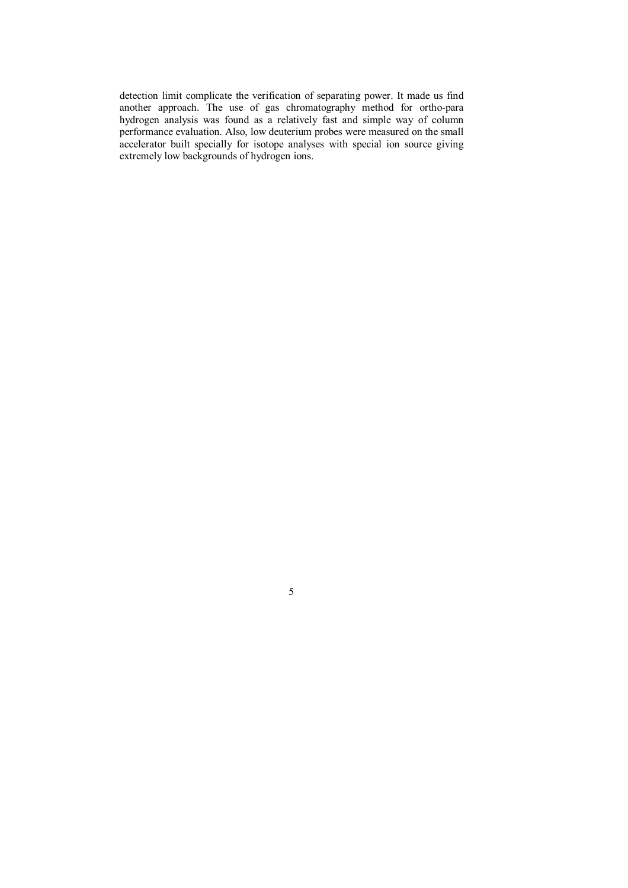detection limit complicate the verification of separating power. It made us find another approach. The use of gas chromatography method for ortho-para hydrogen analysis was found as a relatively fast and simple way of column performance evaluation. Also, low deuterium probes were measured on the small accelerator built specially for isotope analyses with special ion source giving extremely low backgrounds of hydrogen ions.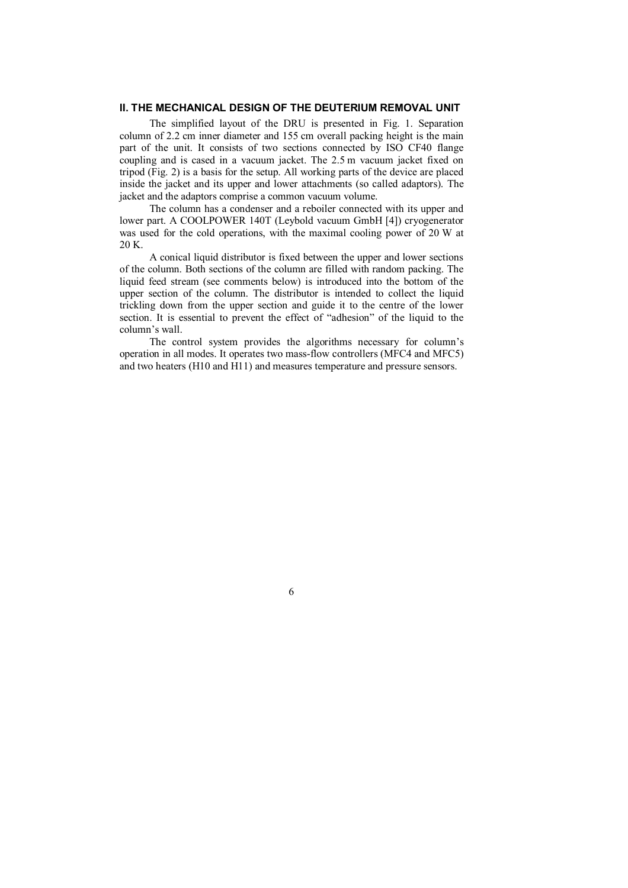### **II. THE MECHANICAL DESIGN OF THE DEUTERIUM REMOVAL UNIT**

The simplified layout of the DRU is presented in Fig. 1. Separation column of 2.2 cm inner diameter and 155 cm overall packing height is the main part of the unit. It consists of two sections connected by ISO CF40 flange coupling and is cased in a vacuum jacket. The 2.5 m vacuum jacket fixed on tripod (Fig. 2) is a basis for the setup. All working parts of the device are placed inside the jacket and its upper and lower attachments (so called adaptors). The jacket and the adaptors comprise a common vacuum volume.

The column has a condenser and a reboiler connected with its upper and lower part. A COOLPOWER 140T (Leybold vacuum GmbH [4]) cryogenerator was used for the cold operations, with the maximal cooling power of 20 W at 20 K.

A conical liquid distributor is fixed between the upper and lower sections of the column. Both sections of the column are filled with random packing. The liquid feed stream (see comments below) is introduced into the bottom of the upper section of the column. The distributor is intended to collect the liquid trickling down from the upper section and guide it to the centre of the lower section. It is essential to prevent the effect of "adhesion" of the liquid to the column's wall.

The control system provides the algorithms necessary for column's operation in all modes. It operates two mass-flow controllers (MFC4 and MFC5) and two heaters (H10 and H11) and measures temperature and pressure sensors.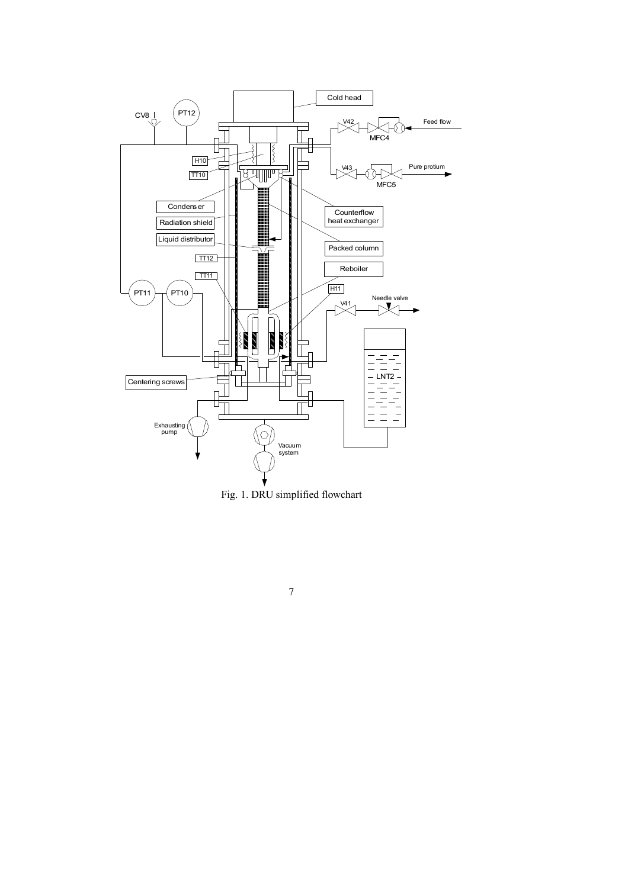

Fig. 1. DRU simplified flowchart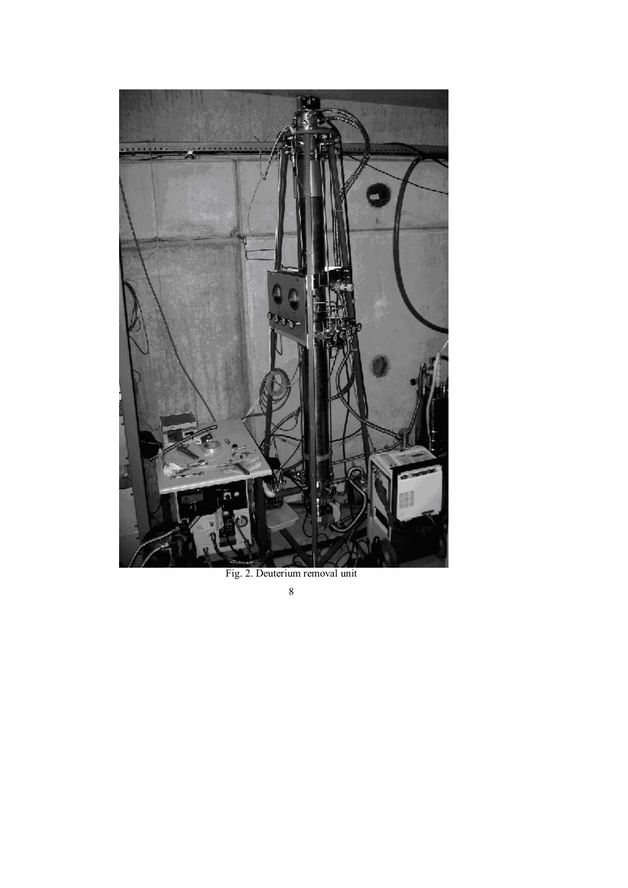

Fig. 2. Deuterium removal unit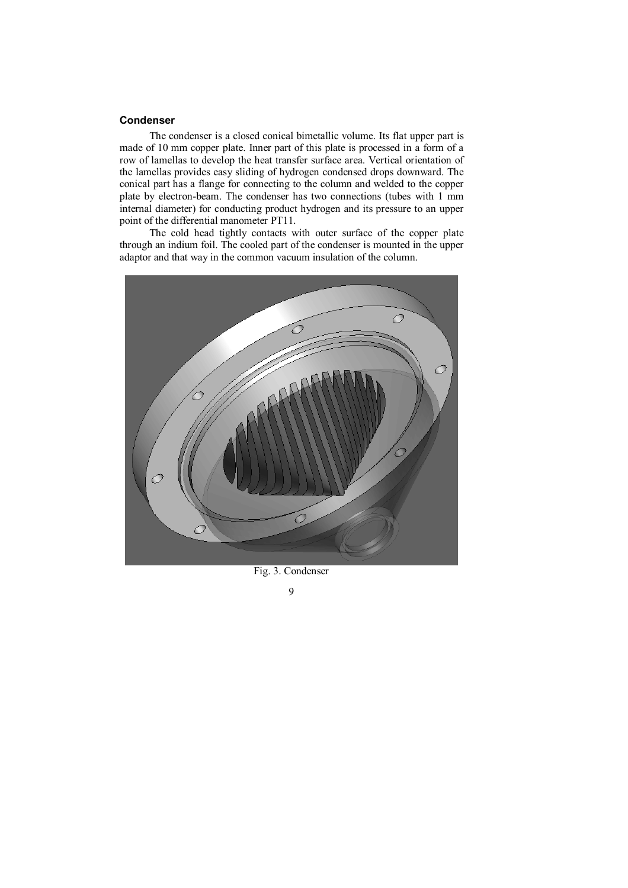# **Condenser**

The condenser is a closed conical bimetallic volume. Its flat upper part is made of 10 mm copper plate. Inner part of this plate is processed in a form of a row of lamellas to develop the heat transfer surface area. Vertical orientation of the lamellas provides easy sliding of hydrogen condensed drops downward. The conical part has a flange for connecting to the column and welded to the copper plate by electron-beam. The condenser has two connections (tubes with 1 mm internal diameter) for conducting product hydrogen and its pressure to an upper point of the differential manometer PT11.

The cold head tightly contacts with outer surface of the copper plate through an indium foil. The cooled part of the condenser is mounted in the upper adaptor and that way in the common vacuum insulation of the column.



Fig. 3. Condenser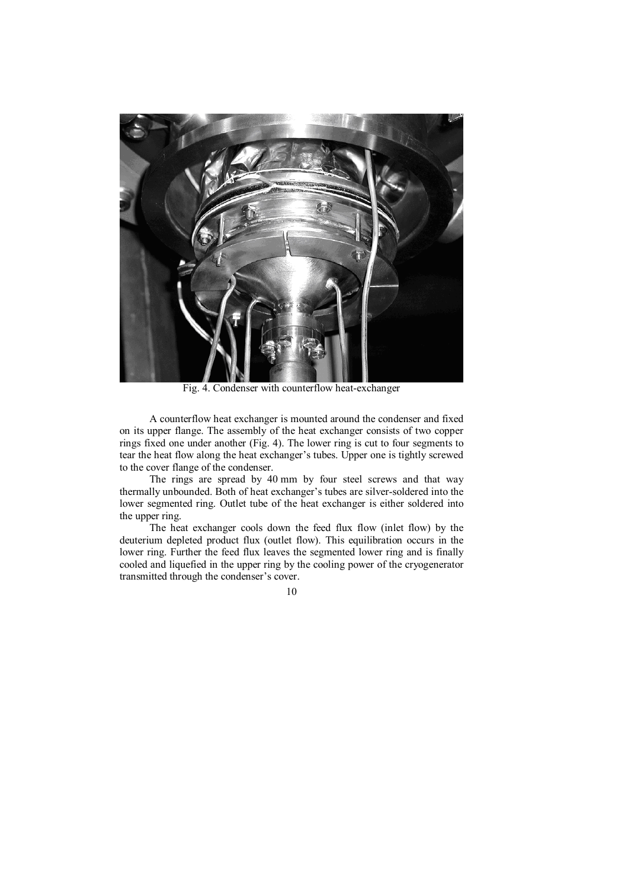

Fig. 4. Condenser with counterflow heat-exchanger

A counterflow heat exchanger is mounted around the condenser and fixed on its upper flange. The assembly of the heat exchanger consists of two copper rings fixed one under another (Fig. 4). The lower ring is cut to four segments to tear the heat flow along the heat exchanger's tubes. Upper one is tightly screwed to the cover flange of the condenser.

The rings are spread by 40 mm by four steel screws and that way thermally unbounded. Both of heat exchanger's tubes are silver-soldered into the lower segmented ring. Outlet tube of the heat exchanger is either soldered into the upper ring.

The heat exchanger cools down the feed flux flow (inlet flow) by the deuterium depleted product flux (outlet flow). This equilibration occurs in the lower ring. Further the feed flux leaves the segmented lower ring and is finally cooled and liquefied in the upper ring by the cooling power of the cryogenerator transmitted through the condenser's cover.

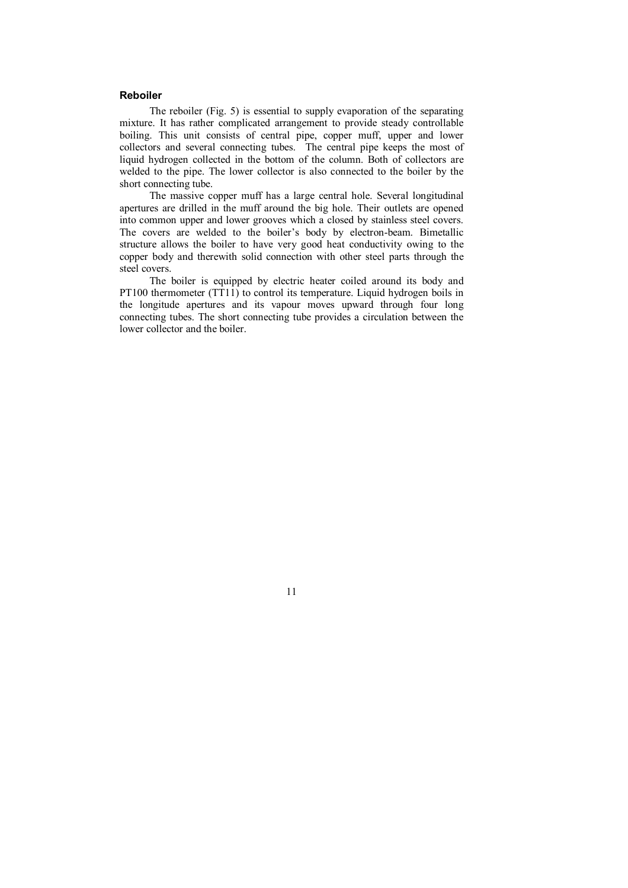#### **Reboiler**

The reboiler (Fig. 5) is essential to supply evaporation of the separating mixture. It has rather complicated arrangement to provide steady controllable boiling. This unit consists of central pipe, copper muff, upper and lower collectors and several connecting tubes. The central pipe keeps the most of liquid hydrogen collected in the bottom of the column. Both of collectors are welded to the pipe. The lower collector is also connected to the boiler by the short connecting tube.

The massive copper muff has a large central hole. Several longitudinal apertures are drilled in the muff around the big hole. Their outlets are opened into common upper and lower grooves which a closed by stainless steel covers. The covers are welded to the boiler's body by electron-beam. Bimetallic structure allows the boiler to have very good heat conductivity owing to the copper body and therewith solid connection with other steel parts through the steel covers.

The boiler is equipped by electric heater coiled around its body and PT100 thermometer (TT11) to control its temperature. Liquid hydrogen boils in the longitude apertures and its vapour moves upward through four long connecting tubes. The short connecting tube provides a circulation between the lower collector and the boiler.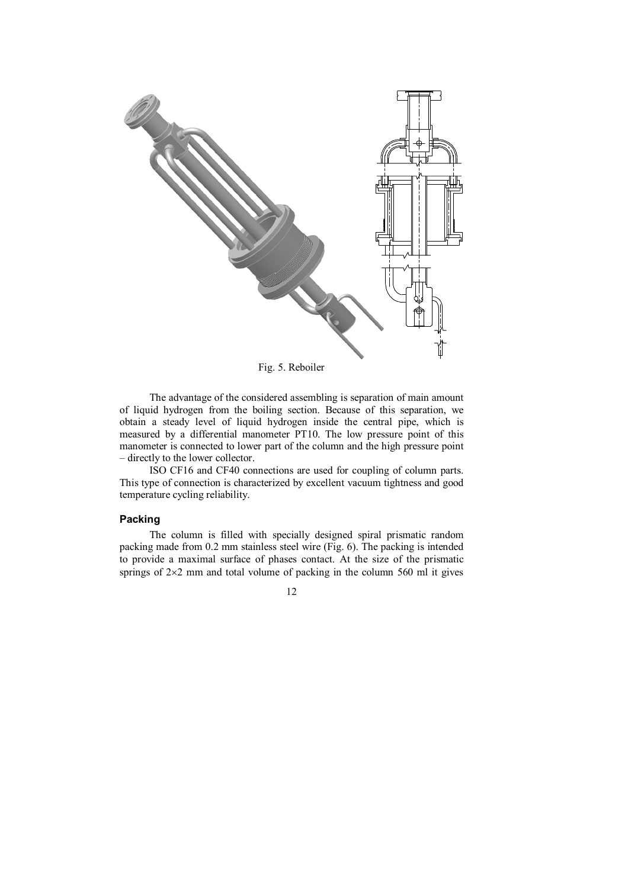

Fig. 5. Reboiler

The advantage of the considered assembling is separation of main amount of liquid hydrogen from the boiling section. Because of this separation, we obtain a steady level of liquid hydrogen inside the central pipe, which is measured by a differential manometer PT10. The low pressure point of this manometer is connected to lower part of the column and the high pressure point – directly to the lower collector.

ISO CF16 and CF40 connections are used for coupling of column parts. This type of connection is characterized by excellent vacuum tightness and good temperature cycling reliability.

# **Packing**

The column is filled with specially designed spiral prismatic random packing made from 0.2 mm stainless steel wire (Fig. 6). The packing is intended to provide a maximal surface of phases contact. At the size of the prismatic springs of  $2\times2$  mm and total volume of packing in the column 560 ml it gives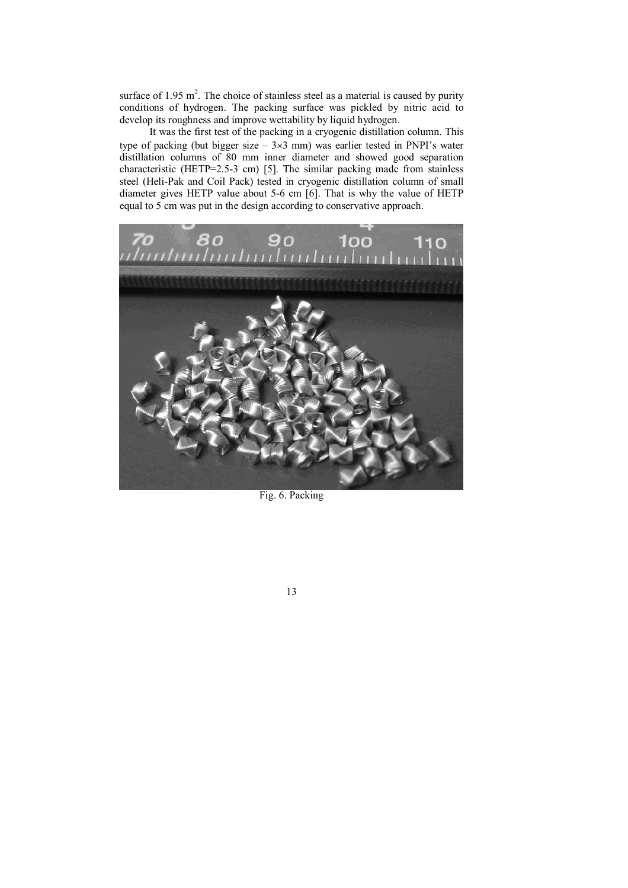surface of 1.95  $m^2$ . The choice of stainless steel as a material is caused by purity conditions of hydrogen. The packing surface was pickled by nitric acid to develop its roughness and improve wettability by liquid hydrogen.

It was the first test of the packing in a cryogenic distillation column. This type of packing (but bigger size  $-3\times3$  mm) was earlier tested in PNPI's water distillation columns of 80 mm inner diameter and showed good separation characteristic (HETP=2.5-3 cm) [5]. The similar packing made from stainless steel (Heli-Pak and Coil Pack) tested in cryogenic distillation column of small diameter gives HETP value about 5-6 cm [6]. That is why the value of HETP equal to 5 cm was put in the design according to conservative approach.



Fig. 6. Packing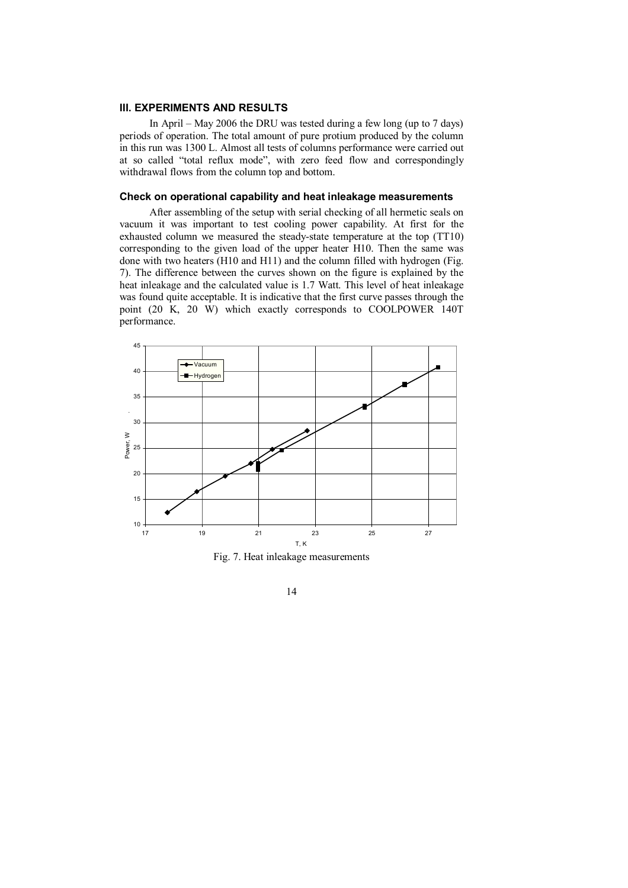# **III. EXPERIMENTS AND RESULTS**

In April – May 2006 the DRU was tested during a few long (up to 7 days) periods of operation. The total amount of pure protium produced by the column in this run was 1300 L. Almost all tests of columns performance were carried out at so called "total reflux mode", with zero feed flow and correspondingly withdrawal flows from the column top and bottom.

# **Check on operational capability and heat inleakage measurements**

After assembling of the setup with serial checking of all hermetic seals on vacuum it was important to test cooling power capability. At first for the exhausted column we measured the steady-state temperature at the top (TT10) corresponding to the given load of the upper heater H10. Then the same was done with two heaters (H10 and H11) and the column filled with hydrogen (Fig. 7). The difference between the curves shown on the figure is explained by the heat inleakage and the calculated value is 1.7 Watt. This level of heat inleakage was found quite acceptable. It is indicative that the first curve passes through the point (20 K, 20 W) which exactly corresponds to COOLPOWER 140T performance.



Fig. 7. Heat inleakage measurements

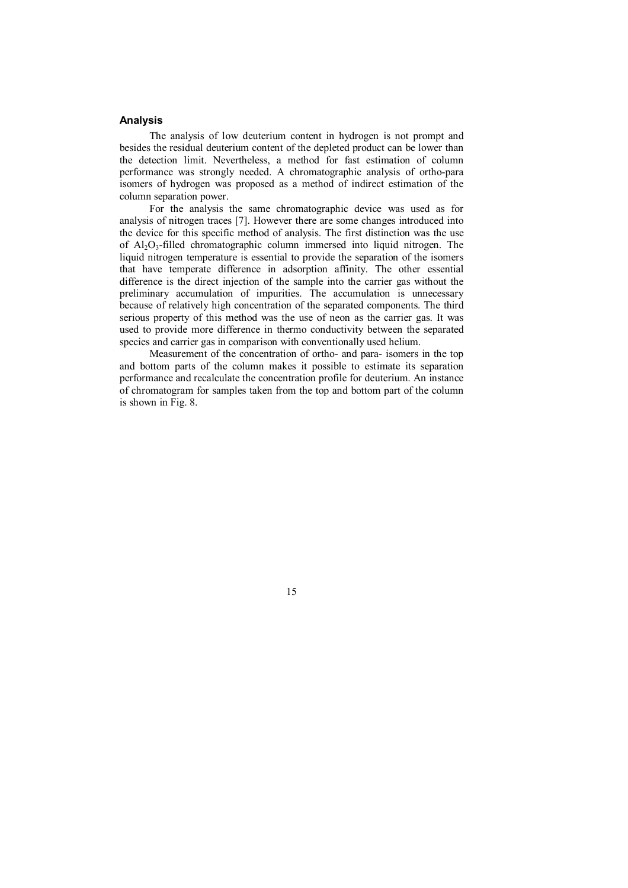#### **Analysis**

The analysis of low deuterium content in hydrogen is not prompt and besides the residual deuterium content of the depleted product can be lower than the detection limit. Nevertheless, a method for fast estimation of column performance was strongly needed. A chromatographic analysis of ortho-para isomers of hydrogen was proposed as a method of indirect estimation of the column separation power.

For the analysis the same chromatographic device was used as for analysis of nitrogen traces [7]. However there are some changes introduced into the device for this specific method of analysis. The first distinction was the use of  $Al_2O_3$ -filled chromatographic column immersed into liquid nitrogen. The liquid nitrogen temperature is essential to provide the separation of the isomers that have temperate difference in adsorption affinity. The other essential difference is the direct injection of the sample into the carrier gas without the preliminary accumulation of impurities. The accumulation is unnecessary because of relatively high concentration of the separated components. The third serious property of this method was the use of neon as the carrier gas. It was used to provide more difference in thermo conductivity between the separated species and carrier gas in comparison with conventionally used helium.

Measurement of the concentration of ortho- and para- isomers in the top and bottom parts of the column makes it possible to estimate its separation performance and recalculate the concentration profile for deuterium. An instance of chromatogram for samples taken from the top and bottom part of the column is shown in Fig. 8.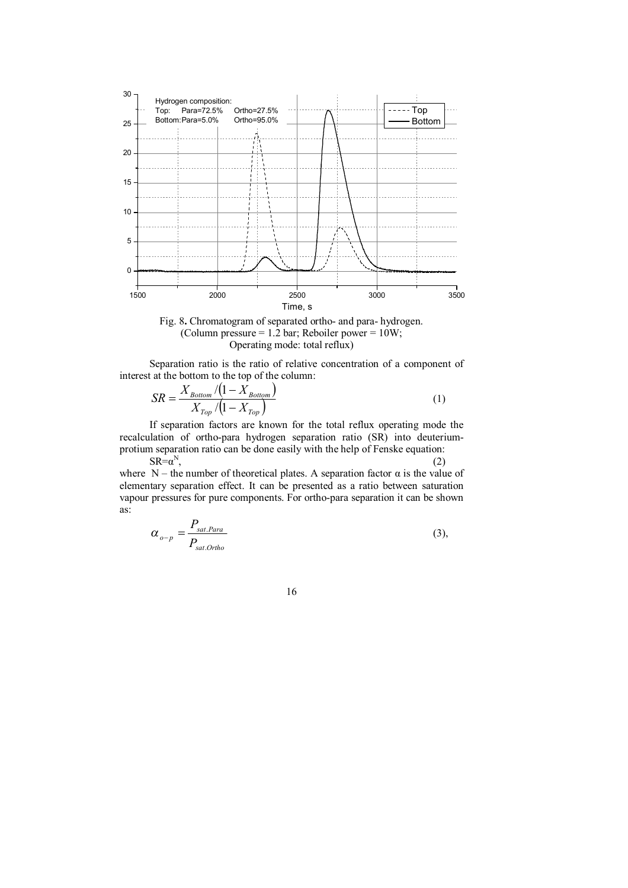



Separation ratio is the ratio of relative concentration of a component of interest at the bottom to the top of the column:

$$
SR = \frac{X_{Bottom} / (1 - X_{Bottom})}{X_{Top} / (1 - X_{Top})}
$$
\n
$$
(1)
$$

If separation factors are known for the total reflux operating mode the recalculation of ortho-para hydrogen separation ratio (SR) into deuteriumprotium separation ratio can be done easily with the help of Fenske equation:  $SR = \alpha^N$  $,$  (2)

where  $N$  – the number of theoretical plates. A separation factor  $\alpha$  is the value of elementary separation effect. It can be presented as a ratio between saturation vapour pressures for pure components. For ortho-para separation it can be shown as:

$$
\alpha_{o-p} = \frac{P_{sat.Para}}{P_{sat. Ortho}}
$$
 (3),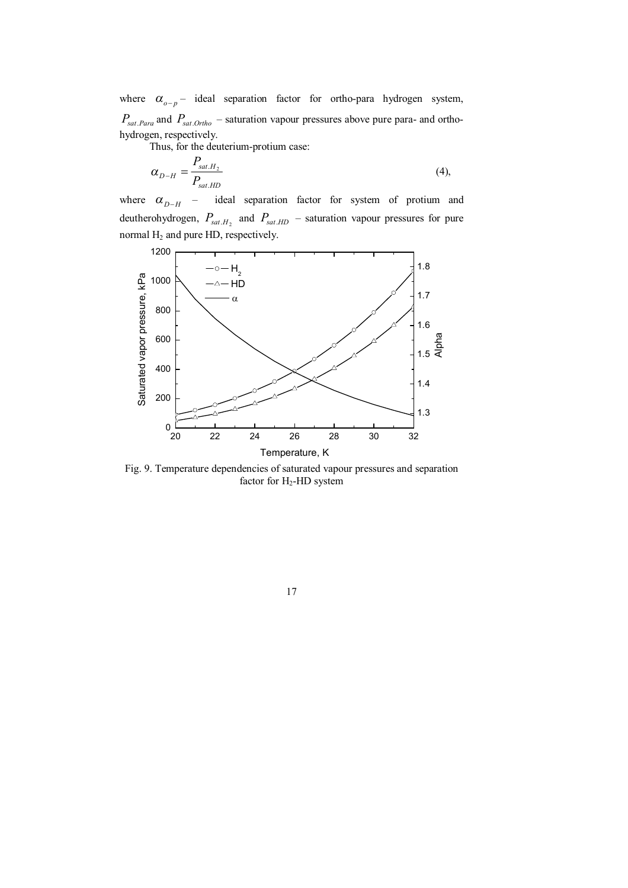where  $\alpha_{o-p}$  - ideal separation factor for ortho-para hydrogen system, *Psat*.*Para* and *Psat*.*Ortho* – saturation vapour pressures above pure para- and orthohydrogen, respectively.

Thus, for the deuterium-protium case:

$$
\alpha_{D-H} = \frac{P_{sat.H_2}}{P_{sat.HD}}
$$
\n(4),

where  $\alpha_{D-H}$ – ideal separation factor for system of protium and deutherohydrogen,  $P_{sat.H_2}$  and  $P_{sat.HD}$  – saturation vapour pressures for pure normal H<sub>2</sub> and pure HD, respectively.



Fig. 9. Temperature dependencies of saturated vapour pressures and separation factor for H<sub>2</sub>-HD system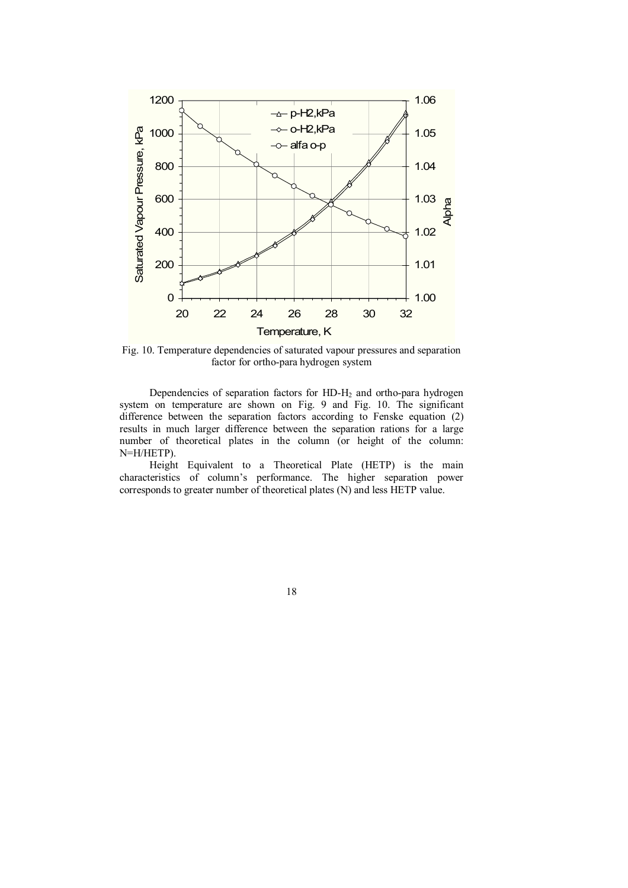

Fig. 10. Temperature dependencies of saturated vapour pressures and separation factor for ortho-para hydrogen system

Dependencies of separation factors for  $HD-H<sub>2</sub>$  and ortho-para hydrogen system on temperature are shown on Fig. 9 and Fig. 10. The significant difference between the separation factors according to Fenske equation (2) results in much larger difference between the separation rations for a large number of theoretical plates in the column (or height of the column: N=H/HETP).

Height Equivalent to a Theoretical Plate (HETP) is the main characteristics of column's performance. The higher separation power corresponds to greater number of theoretical plates (N) and less HETP value.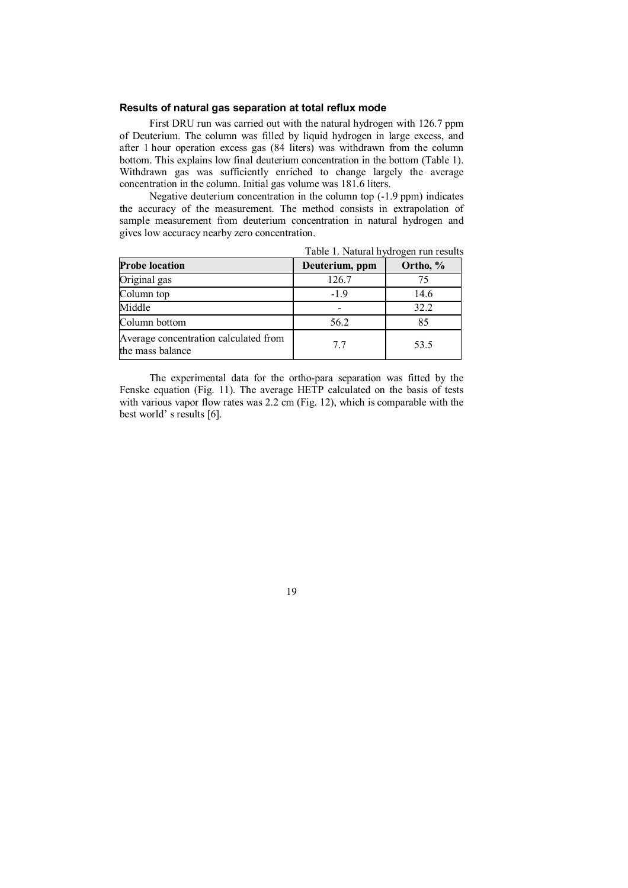### **Results of natural gas separation at total reflux mode**

First DRU run was carried out with the natural hydrogen with 126.7 ppm of Deuterium. The column was filled by liquid hydrogen in large excess, and after 1 hour operation excess gas (84 liters) was withdrawn from the column bottom. This explains low final deuterium concentration in the bottom (Table 1). Withdrawn gas was sufficiently enriched to change largely the average concentration in the column. Initial gas volume was 181.6 liters.

Negative deuterium concentration in the column top (-1.9 ppm) indicates the accuracy of the measurement. The method consists in extrapolation of sample measurement from deuterium concentration in natural hydrogen and gives low accuracy nearby zero concentration.

| <b>Probe location</b>                                     | Deuterium, ppm | Ortho, % |
|-----------------------------------------------------------|----------------|----------|
| Original gas                                              | 126.7          | 75       |
| Column top                                                | $-1.9$         | 14.6     |
| Middle                                                    |                | 32.2     |
| Column bottom                                             | 56.2           | 85       |
| Average concentration calculated from<br>the mass balance | 77             | 53.5     |

Table 1. Natural hydrogen run results

The experimental data for the ortho-para separation was fitted by the Fenske equation (Fig. 11). The average HETP calculated on the basis of tests with various vapor flow rates was 2.2 cm (Fig. 12), which is comparable with the best world' s results [6].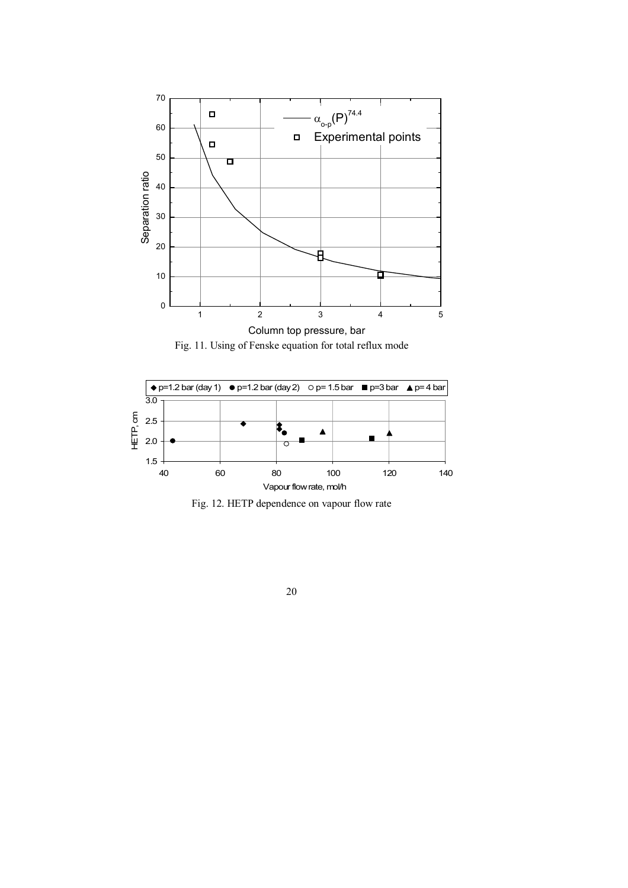







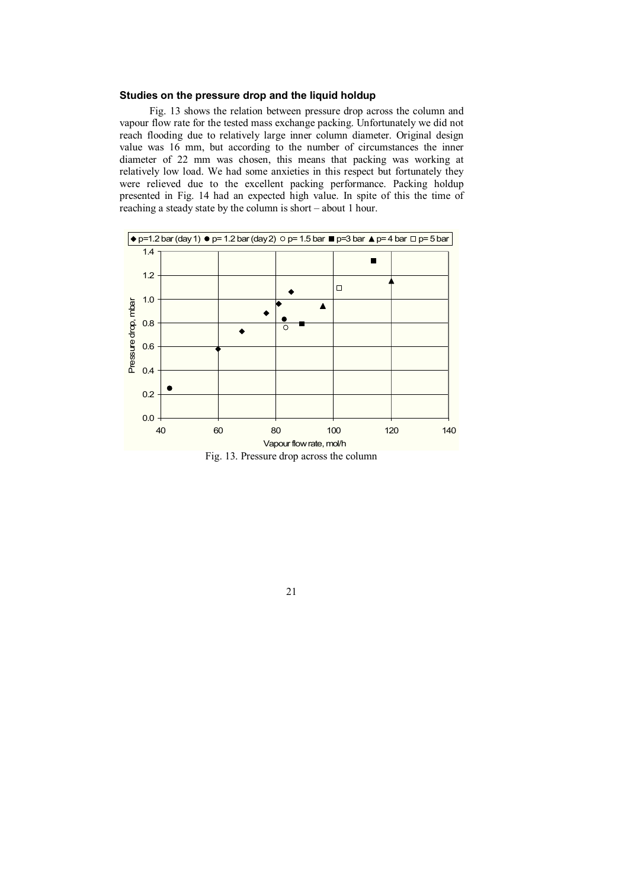#### **Studies on the pressure drop and the liquid holdup**

Fig. 13 shows the relation between pressure drop across the column and vapour flow rate for the tested mass exchange packing. Unfortunately we did not reach flooding due to relatively large inner column diameter. Original design value was 16 mm, but according to the number of circumstances the inner diameter of 22 mm was chosen, this means that packing was working at relatively low load. We had some anxieties in this respect but fortunately they were relieved due to the excellent packing performance. Packing holdup presented in Fig. 14 had an expected high value. In spite of this the time of reaching a steady state by the column is short – about 1 hour.





21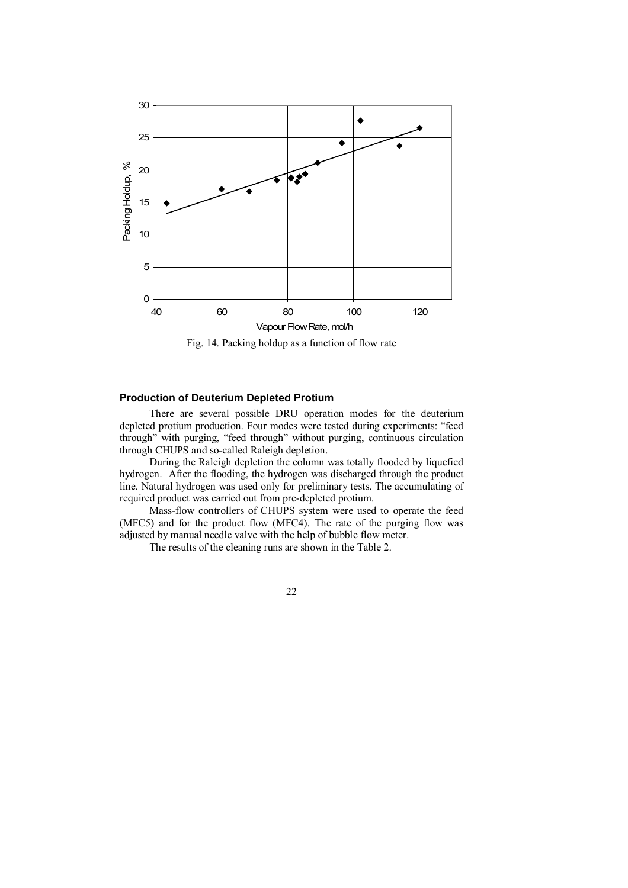

Fig. 14. Packing holdup as a function of flow rate

# **Production of Deuterium Depleted Protium**

There are several possible DRU operation modes for the deuterium depleted protium production. Four modes were tested during experiments: "feed through" with purging, "feed through" without purging, continuous circulation through CHUPS and so-called Raleigh depletion.

During the Raleigh depletion the column was totally flooded by liquefied hydrogen. After the flooding, the hydrogen was discharged through the product line. Natural hydrogen was used only for preliminary tests. The accumulating of required product was carried out from pre-depleted protium.

Mass-flow controllers of CHUPS system were used to operate the feed (MFC5) and for the product flow (MFC4). The rate of the purging flow was adjusted by manual needle valve with the help of bubble flow meter.

The results of the cleaning runs are shown in the Table 2.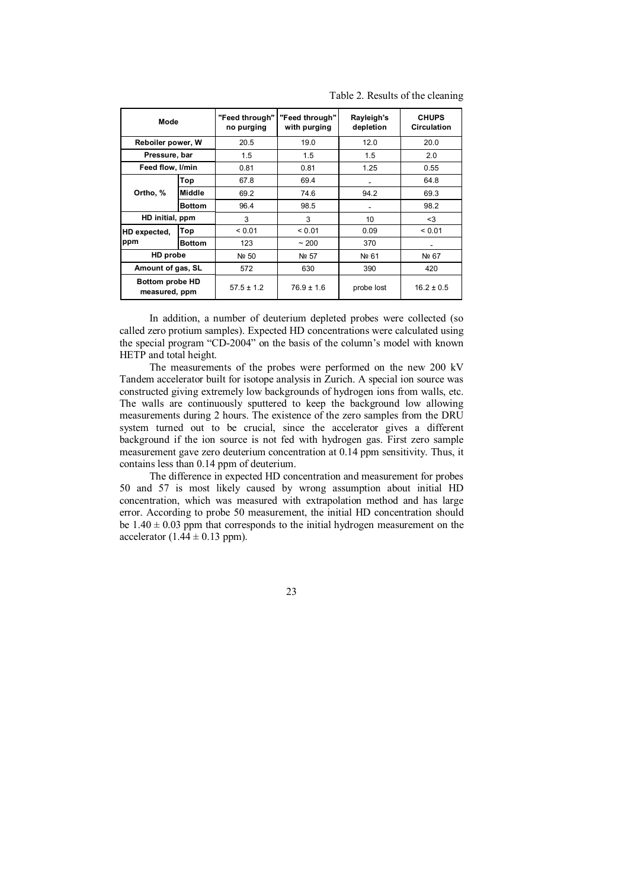| Mode                                    |               | "Feed through"<br>no purging | "Feed through"<br>with purging | Rayleigh's<br>depletion | <b>CHUPS</b><br><b>Circulation</b> |
|-----------------------------------------|---------------|------------------------------|--------------------------------|-------------------------|------------------------------------|
| Reboiler power, W                       |               | 20.5                         | 19.0                           | 12.0                    | 20.0                               |
| Pressure, bar                           |               | 1.5                          | 1.5                            | 1.5                     | 2.0                                |
| Feed flow, I/min                        |               | 0.81                         | 0.81                           | 1.25                    | 0.55                               |
| Ortho, %                                | Top           | 67.8                         | 69.4                           | ٠                       | 64.8                               |
|                                         | <b>Middle</b> | 69.2                         | 74.6                           | 94.2                    | 69.3                               |
|                                         | <b>Bottom</b> | 96.4                         | 98.5                           | ٠                       | 98.2                               |
| HD initial, ppm                         |               | 3                            | 3                              | 10                      | $3$                                |
| HD expected,<br>ppm                     | Top           | < 0.01                       | < 0.01                         | 0.09                    | < 0.01                             |
|                                         | <b>Bottom</b> | 123                          | $~1$ 200                       | 370                     |                                    |
| HD probe                                |               | Nº 50                        | Nº 57                          | Nº 61                   | Nº 67                              |
| Amount of gas, SL                       |               | 572                          | 630                            | 390                     | 420                                |
| <b>Bottom probe HD</b><br>measured, ppm |               | $57.5 \pm 1.2$               | $76.9 \pm 1.6$                 | probe lost              | $16.2 \pm 0.5$                     |

Table 2. Results of the cleaning

In addition, a number of deuterium depleted probes were collected (so called zero protium samples). Expected HD concentrations were calculated using the special program "CD-2004" on the basis of the column's model with known HETP and total height.

The measurements of the probes were performed on the new 200 kV Tandem accelerator built for isotope analysis in Zurich. A special ion source was constructed giving extremely low backgrounds of hydrogen ions from walls, etc. The walls are continuously sputtered to keep the background low allowing measurements during 2 hours. The existence of the zero samples from the DRU system turned out to be crucial, since the accelerator gives a different background if the ion source is not fed with hydrogen gas. First zero sample measurement gave zero deuterium concentration at 0.14 ppm sensitivity. Thus, it contains less than 0.14 ppm of deuterium.

The difference in expected HD concentration and measurement for probes 50 and 57 is most likely caused by wrong assumption about initial HD concentration, which was measured with extrapolation method and has large error. According to probe 50 measurement, the initial HD concentration should be  $1.40 \pm 0.03$  ppm that corresponds to the initial hydrogen measurement on the accelerator (1.44  $\pm$  0.13 ppm).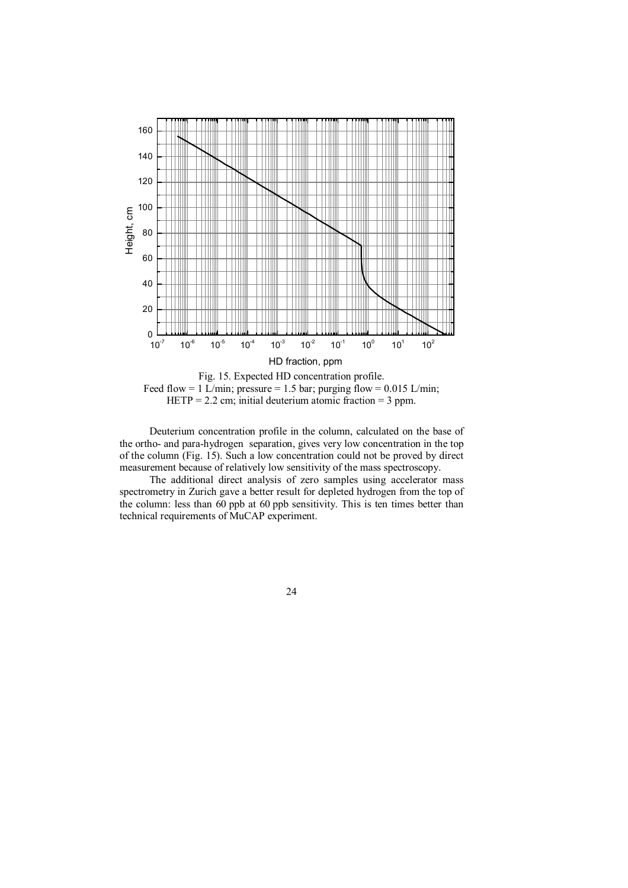

Deuterium concentration profile in the column, calculated on the base of the ortho- and para-hydrogen separation, gives very low concentration in the top of the column (Fig. 15). Such a low concentration could not be proved by direct measurement because of relatively low sensitivity of the mass spectroscopy.

The additional direct analysis of zero samples using accelerator mass spectrometry in Zurich gave a better result for depleted hydrogen from the top of the column: less than 60 ppb at 60 ppb sensitivity. This is ten times better than technical requirements of MuCAP experiment.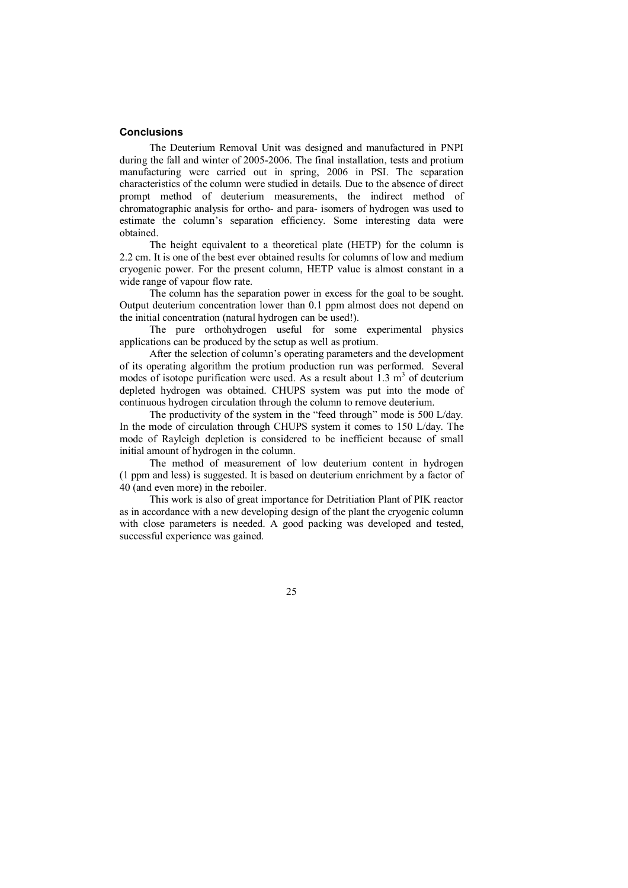### **Conclusions**

The Deuterium Removal Unit was designed and manufactured in PNPI during the fall and winter of 2005-2006. The final installation, tests and protium manufacturing were carried out in spring, 2006 in PSI. The separation characteristics of the column were studied in details. Due to the absence of direct prompt method of deuterium measurements, the indirect method of chromatographic analysis for ortho- and para- isomers of hydrogen was used to estimate the column's separation efficiency. Some interesting data were obtained.

The height equivalent to a theoretical plate (HETP) for the column is 2.2 cm. It is one of the best ever obtained results for columns of low and medium cryogenic power. For the present column, HETP value is almost constant in a wide range of vapour flow rate.

The column has the separation power in excess for the goal to be sought. Output deuterium concentration lower than 0.1 ppm almost does not depend on the initial concentration (natural hydrogen can be used!).

The pure orthohydrogen useful for some experimental physics applications can be produced by the setup as well as protium.

After the selection of column's operating parameters and the development of its operating algorithm the protium production run was performed. Several modes of isotope purification were used. As a result about  $1.3 \text{ m}^3$  of deuterium depleted hydrogen was obtained. CHUPS system was put into the mode of continuous hydrogen circulation through the column to remove deuterium.

The productivity of the system in the "feed through" mode is 500 L/day. In the mode of circulation through CHUPS system it comes to 150 L/day. The mode of Rayleigh depletion is considered to be inefficient because of small initial amount of hydrogen in the column.

The method of measurement of low deuterium content in hydrogen (1 ppm and less) is suggested. It is based on deuterium enrichment by a factor of 40 (and even more) in the reboiler.

This work is also of great importance for Detritiation Plant of PIK reactor as in accordance with a new developing design of the plant the cryogenic column with close parameters is needed. A good packing was developed and tested, successful experience was gained.